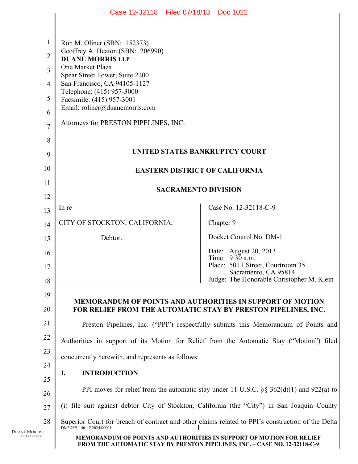|                                          | Case 12-32118 Filed 07/18/13 Doc 1022                                                                                                              |                                                                                           |
|------------------------------------------|----------------------------------------------------------------------------------------------------------------------------------------------------|-------------------------------------------------------------------------------------------|
|                                          |                                                                                                                                                    |                                                                                           |
| $\mathbf{1}$                             | Ron M. Oliner (SBN: 152373)                                                                                                                        |                                                                                           |
| $\overline{2}$                           | Geoffrey A. Heaton (SBN: 206990)<br><b>DUANE MORRIS LLP</b>                                                                                        |                                                                                           |
| $\overline{3}$                           | One Market Plaza<br>Spear Street Tower, Suite 2200                                                                                                 |                                                                                           |
| $\overline{4}$                           | San Francisco, CA 94105-1127                                                                                                                       |                                                                                           |
| 5                                        | Telephone: (415) 957-3000<br>Facsimile: (415) 957-3001                                                                                             |                                                                                           |
| 6                                        | Email: roliner@duanemorris.com                                                                                                                     |                                                                                           |
| $\overline{7}$                           | Attorneys for PRESTON PIPELINES, INC.                                                                                                              |                                                                                           |
| 8                                        |                                                                                                                                                    |                                                                                           |
| 9                                        | UNITED STATES BANKRUPTCY COURT                                                                                                                     |                                                                                           |
| 10                                       |                                                                                                                                                    | <b>EASTERN DISTRICT OF CALIFORNIA</b>                                                     |
| 11                                       | <b>SACRAMENTO DIVISION</b>                                                                                                                         |                                                                                           |
| 12                                       |                                                                                                                                                    |                                                                                           |
| 13                                       | In re                                                                                                                                              | Case No. 12-32118-C-9                                                                     |
| 14                                       | CITY OF STOCKTON, CALIFORNIA,                                                                                                                      | Chapter 9                                                                                 |
| 15                                       | Debtor.                                                                                                                                            | Docket Control No. DM-1                                                                   |
| 16                                       |                                                                                                                                                    | Date: August 20, 2013<br>Time: $9:30$ a.m.                                                |
| 17                                       |                                                                                                                                                    | Place: 501 I Street, Courtroom 35<br>Sacramento, CA 95814                                 |
| 18                                       |                                                                                                                                                    | Judge: The Honorable Christopher M. Klein                                                 |
| 19                                       |                                                                                                                                                    | <b>MEMORANDUM OF POINTS AND AUTHORITIES IN SUPPORT OF MOTION</b>                          |
| 20                                       |                                                                                                                                                    | FOR RELIEF FROM THE AUTOMATIC STAY BY PRESTON PIPELINES, INC.                             |
| 21                                       |                                                                                                                                                    | Preston Pipelines, Inc. ("PPI") respectfully submits this Memorandum of Points and        |
| 22                                       | Authorities in support of its Motion for Relief from the Automatic Stay ("Motion") filed                                                           |                                                                                           |
| 23                                       | concurrently herewith, and represents as follows:                                                                                                  |                                                                                           |
| 24                                       | <b>INTRODUCTION</b><br>I.                                                                                                                          |                                                                                           |
| 25                                       |                                                                                                                                                    | PPI moves for relief from the automatic stay under 11 U.S.C. $\S$ 362(d)(1) and 922(a) to |
| 26                                       | (i) file suit against debtor City of Stockton, California (the "City") in San Joaquin County                                                       |                                                                                           |
| 28                                       | 27<br>Superior Court for breach of contract and other claims related to PPI's construction of the Delta                                            |                                                                                           |
| Duane Morris llp<br><b>SAN FRANCISCO</b> | DM3\2591146.1 R2024/00001                                                                                                                          |                                                                                           |
|                                          | MEMORANDUM OF POINTS AND AUTHORITIES IN SUPPORT OF MOTION FOR RELIEF<br>FROM THE AUTOMATIC STAY BY PRESTON PIPELINES, INC. - CASE NO. 12-32118-C-9 |                                                                                           |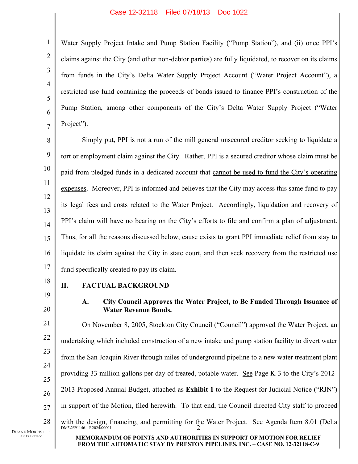Water Supply Project Intake and Pump Station Facility ("Pump Station"), and (ii) once PPI's claims against the City (and other non-debtor parties) are fully liquidated, to recover on its claims from funds in the City's Delta Water Supply Project Account ("Water Project Account"), a restricted use fund containing the proceeds of bonds issued to finance PPI's construction of the Pump Station, among other components of the City's Delta Water Supply Project ("Water

8 9 10 11 12 13 14 15 16 17 Simply put, PPI is not a run of the mill general unsecured creditor seeking to liquidate a tort or employment claim against the City. Rather, PPI is a secured creditor whose claim must be paid from pledged funds in a dedicated account that cannot be used to fund the City's operating expenses. Moreover, PPI is informed and believes that the City may access this same fund to pay its legal fees and costs related to the Water Project. Accordingly, liquidation and recovery of PPI's claim will have no bearing on the City's efforts to file and confirm a plan of adjustment. Thus, for all the reasons discussed below, cause exists to grant PPI immediate relief from stay to liquidate its claim against the City in state court, and then seek recovery from the restricted use fund specifically created to pay its claim.

18 19

20

1

2

3

4

5

6

7

Project").

## **II. FACTUAL BACKGROUND**

**A. City Council Approves the Water Project, to Be Funded Through Issuance of Water Revenue Bonds.**

21 22 23 24 25 26 27 28 DM3\2591146.1 R2024/00001 2 On November 8, 2005, Stockton City Council ("Council") approved the Water Project, an undertaking which included construction of a new intake and pump station facility to divert water from the San Joaquin River through miles of underground pipeline to a new water treatment plant providing 33 million gallons per day of treated, potable water. See Page K-3 to the City's 2012- 2013 Proposed Annual Budget, attached as **Exhibit 1** to the Request for Judicial Notice ("RJN") in support of the Motion, filed herewith. To that end, the Council directed City staff to proceed with the design, financing, and permitting for the Water Project. See Agenda Item 8.01 (Delta

DUANE MORRIS LLP SAN FRANCISCO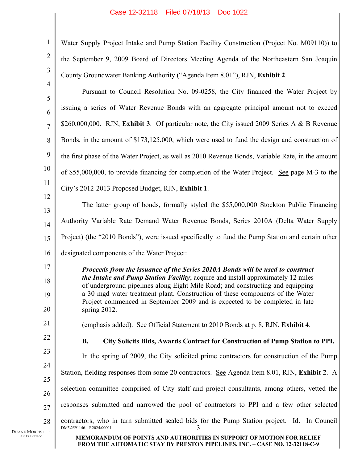| 1                    | Water Supply Project Intake and Pump Station Facility Construction (Project No. M09110)) to                                                                                                                                                                                                                                                                                                                                             |
|----------------------|-----------------------------------------------------------------------------------------------------------------------------------------------------------------------------------------------------------------------------------------------------------------------------------------------------------------------------------------------------------------------------------------------------------------------------------------|
| $\overline{2}$       | the September 9, 2009 Board of Directors Meeting Agenda of the Northeastern San Joaquin                                                                                                                                                                                                                                                                                                                                                 |
| 3                    | County Groundwater Banking Authority ("Agenda Item 8.01"), RJN, Exhibit 2.                                                                                                                                                                                                                                                                                                                                                              |
| $\overline{4}$       | Pursuant to Council Resolution No. 09-0258, the City financed the Water Project by                                                                                                                                                                                                                                                                                                                                                      |
| 5<br>6               | issuing a series of Water Revenue Bonds with an aggregate principal amount not to exceed                                                                                                                                                                                                                                                                                                                                                |
| $\overline{7}$       | \$260,000,000. RJN, Exhibit 3. Of particular note, the City issued 2009 Series A & B Revenue                                                                                                                                                                                                                                                                                                                                            |
| 8                    | Bonds, in the amount of \$173,125,000, which were used to fund the design and construction of                                                                                                                                                                                                                                                                                                                                           |
| 9                    | the first phase of the Water Project, as well as 2010 Revenue Bonds, Variable Rate, in the amount                                                                                                                                                                                                                                                                                                                                       |
| 10                   | of \$55,000,000, to provide financing for completion of the Water Project. See page M-3 to the                                                                                                                                                                                                                                                                                                                                          |
| 11                   | City's 2012-2013 Proposed Budget, RJN, Exhibit 1.                                                                                                                                                                                                                                                                                                                                                                                       |
| 12                   | The latter group of bonds, formally styled the \$55,000,000 Stockton Public Financing                                                                                                                                                                                                                                                                                                                                                   |
| 13                   | Authority Variable Rate Demand Water Revenue Bonds, Series 2010A (Delta Water Supply                                                                                                                                                                                                                                                                                                                                                    |
| 14<br>15             | Project) (the "2010 Bonds"), were issued specifically to fund the Pump Station and certain other                                                                                                                                                                                                                                                                                                                                        |
| 16                   | designated components of the Water Project:                                                                                                                                                                                                                                                                                                                                                                                             |
| 17<br>18<br>19<br>20 | Proceeds from the issuance of the Series 2010A Bonds will be used to construct<br>the Intake and Pump Station Facility; acquire and install approximately 12 miles<br>of underground pipelines along Eight Mile Road; and constructing and equipping<br>a 30 mgd water treatment plant. Construction of these components of the Water<br>Project commenced in September 2009 and is expected to be completed in late<br>spring $2012$ . |
| 21                   | (emphasis added). See Official Statement to 2010 Bonds at p. 8, RJN, Exhibit 4.                                                                                                                                                                                                                                                                                                                                                         |
| 22                   | City Solicits Bids, Awards Contract for Construction of Pump Station to PPI.<br><b>B.</b>                                                                                                                                                                                                                                                                                                                                               |
| 23                   | In the spring of 2009, the City solicited prime contractors for construction of the Pump                                                                                                                                                                                                                                                                                                                                                |
| 24<br>25             | Station, fielding responses from some 20 contractors. See Agenda Item 8.01, RJN, Exhibit 2. A                                                                                                                                                                                                                                                                                                                                           |
| 26                   | selection committee comprised of City staff and project consultants, among others, vetted the                                                                                                                                                                                                                                                                                                                                           |
| 27                   | responses submitted and narrowed the pool of contractors to PPI and a few other selected                                                                                                                                                                                                                                                                                                                                                |
| 28<br>LLP            | contractors, who in turn submitted sealed bids for the Pump Station project. Id. In Council<br>DM3\2591146.1 R2024/00001                                                                                                                                                                                                                                                                                                                |
|                      |                                                                                                                                                                                                                                                                                                                                                                                                                                         |

DUANE MORRIS SAN FRANCISCO

Ш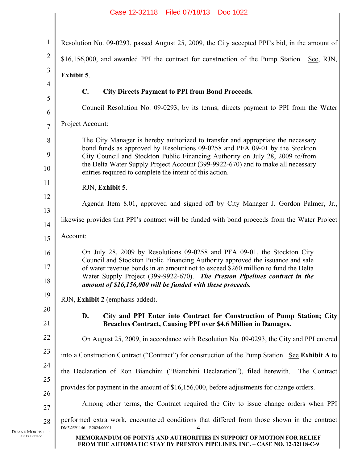|                                          | Case 12-32118 Filed 07/18/13 Doc 1022                                                                                                                                                                                                                                                                           |  |
|------------------------------------------|-----------------------------------------------------------------------------------------------------------------------------------------------------------------------------------------------------------------------------------------------------------------------------------------------------------------|--|
|                                          |                                                                                                                                                                                                                                                                                                                 |  |
| $\mathbf{1}$                             | Resolution No. 09-0293, passed August 25, 2009, the City accepted PPI's bid, in the amount of                                                                                                                                                                                                                   |  |
| $\overline{2}$                           | \$16,156,000, and awarded PPI the contract for construction of the Pump Station. See, RJN,                                                                                                                                                                                                                      |  |
| 3                                        | Exhibit 5.                                                                                                                                                                                                                                                                                                      |  |
| $\overline{4}$                           | $\mathbf{C}$ .<br><b>City Directs Payment to PPI from Bond Proceeds.</b>                                                                                                                                                                                                                                        |  |
| 5<br>6                                   | Council Resolution No. 09-0293, by its terms, directs payment to PPI from the Water                                                                                                                                                                                                                             |  |
| $\overline{7}$                           | Project Account:                                                                                                                                                                                                                                                                                                |  |
| 8                                        | The City Manager is hereby authorized to transfer and appropriate the necessary                                                                                                                                                                                                                                 |  |
| 9                                        | bond funds as approved by Resolutions 09-0258 and PFA 09-01 by the Stockton<br>City Council and Stockton Public Financing Authority on July 28, 2009 to/from                                                                                                                                                    |  |
| 10                                       | the Delta Water Supply Project Account (399-9922-670) and to make all necessary<br>entries required to complete the intent of this action.                                                                                                                                                                      |  |
| 11                                       |                                                                                                                                                                                                                                                                                                                 |  |
| 12                                       | RJN, Exhibit 5.                                                                                                                                                                                                                                                                                                 |  |
| 13                                       | Agenda Item 8.01, approved and signed off by City Manager J. Gordon Palmer, Jr.,                                                                                                                                                                                                                                |  |
| 14                                       | likewise provides that PPI's contract will be funded with bond proceeds from the Water Project                                                                                                                                                                                                                  |  |
| 15                                       | Account:                                                                                                                                                                                                                                                                                                        |  |
| 16                                       | On July 28, 2009 by Resolutions 09-0258 and PFA 09-01, the Stockton City                                                                                                                                                                                                                                        |  |
| 17                                       | Council and Stockton Public Financing Authority approved the issuance and sale<br>of water revenue bonds in an amount not to exceed \$260 million to fund the Delta<br>Water Supply Project (399-9922-670). The Preston Pipelines contract in the<br>amount of \$16,156,000 will be funded with these proceeds. |  |
| 18                                       |                                                                                                                                                                                                                                                                                                                 |  |
| 19                                       | RJN, Exhibit 2 (emphasis added).                                                                                                                                                                                                                                                                                |  |
| 20                                       |                                                                                                                                                                                                                                                                                                                 |  |
| 21                                       | D.<br>City and PPI Enter into Contract for Construction of Pump Station; City<br>Breaches Contract, Causing PPI over \$4.6 Million in Damages.                                                                                                                                                                  |  |
| 22                                       | On August 25, 2009, in accordance with Resolution No. 09-0293, the City and PPI entered                                                                                                                                                                                                                         |  |
| 23                                       | into a Construction Contract ("Contract") for construction of the Pump Station. See Exhibit A to                                                                                                                                                                                                                |  |
| 24                                       | the Declaration of Ron Bianchini ("Bianchini Declaration"), filed herewith.<br>The Contract                                                                                                                                                                                                                     |  |
| 25                                       | provides for payment in the amount of \$16,156,000, before adjustments for change orders.                                                                                                                                                                                                                       |  |
| 26<br>27                                 | Among other terms, the Contract required the City to issue change orders when PPI                                                                                                                                                                                                                               |  |
| 28                                       | performed extra work, encountered conditions that differed from those shown in the contract                                                                                                                                                                                                                     |  |
| Duane Morris llp<br><b>SAN FRANCISCO</b> | DM3\2591146.1 R2024/00001<br>4<br>MEMORANDUM OF POINTS AND AUTHORITIES IN SUPPORT OF MOTION FOR RELIEF                                                                                                                                                                                                          |  |
|                                          | FROM THE AUTOMATIC STAY BY PRESTON PIPELINES, INC. - CASE NO. 12-32118-C-9                                                                                                                                                                                                                                      |  |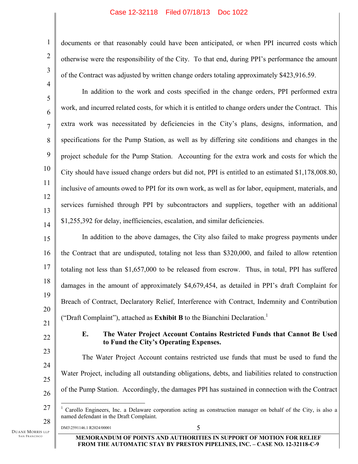documents or that reasonably could have been anticipated, or when PPI incurred costs which otherwise were the responsibility of the City. To that end, during PPI's performance the amount of the Contract was adjusted by written change orders totaling approximately \$423,916.59.

In addition to the work and costs specified in the change orders, PPI performed extra work, and incurred related costs, for which it is entitled to change orders under the Contract. This extra work was necessitated by deficiencies in the City's plans, designs, information, and specifications for the Pump Station, as well as by differing site conditions and changes in the project schedule for the Pump Station. Accounting for the extra work and costs for which the City should have issued change orders but did not, PPI is entitled to an estimated \$1,178,008.80, inclusive of amounts owed to PPI for its own work, as well as for labor, equipment, materials, and services furnished through PPI by subcontractors and suppliers, together with an additional \$1,255,392 for delay, inefficiencies, escalation, and similar deficiencies.

15 16 17 18 19 20 21 In addition to the above damages, the City also failed to make progress payments under the Contract that are undisputed, totaling not less than \$320,000, and failed to allow retention totaling not less than \$1,657,000 to be released from escrow. Thus, in total, PPI has suffered damages in the amount of approximately \$4,679,454, as detailed in PPI's draft Complaint for Breach of Contract, Declaratory Relief, Interference with Contract, Indemnity and Contribution ("Draft Complaint"), attached as **Exhibit B** to the Bianchini Declaration.<sup>1</sup>

22

23

24

25

26

1

2

3

4

5

6

7

8

9

10

11

12

13

14

### **E. The Water Project Account Contains Restricted Funds that Cannot Be Used to Fund the City's Operating Expenses.**

The Water Project Account contains restricted use funds that must be used to fund the Water Project, including all outstanding obligations, debts, and liabilities related to construction of the Pump Station. Accordingly, the damages PPI has sustained in connection with the Contract

DM3\2591146.1 R2024/00001 5

DUANE MORRIS LLP SAN FRANCISCO

<sup>27</sup>  28  $\overline{a}$ 1 Carollo Engineers, Inc. a Delaware corporation acting as construction manager on behalf of the City, is also a named defendant in the Draft Complaint.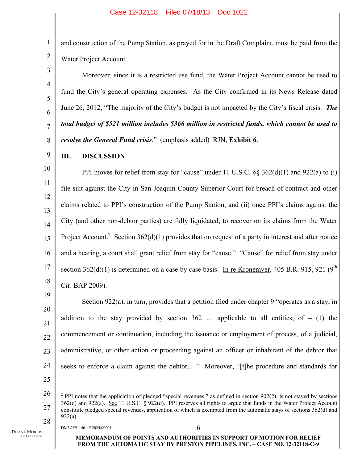and construction of the Pump Station, as prayed for in the Draft Complaint, must be paid from the Water Project Account.

Moreover, since it is a restricted use fund, the Water Project Account cannot be used to fund the City's general operating expenses. As the City confirmed in its News Release dated June 26, 2012, "The majority of the City's budget is not impacted by the City's fiscal crisis. *The total budget of \$521 million includes \$366 million in restricted funds, which cannot be used to resolve the General Fund crisis*." (emphasis added) RJN, **Exhibit 6**.

9 **III. DISCUSSION**

1

2

3

4

5

6

7

8

10 11 12 13 14 15 16 17 18 PPI moves for relief from stay for "cause" under 11 U.S.C. §§ 362(d)(1) and 922(a) to (i) file suit against the City in San Joaquin County Superior Court for breach of contract and other claims related to PPI's construction of the Pump Station, and (ii) once PPI's claims against the City (and other non-debtor parties) are fully liquidated, to recover on its claims from the Water Project Account.<sup>2</sup> Section 362(d)(1) provides that on request of a party in interest and after notice and a hearing, a court shall grant relief from stay for "cause." "Cause" for relief from stay under section 362(d)(1) is determined on a case by case basis. In re Kronemyer, 405 B.R. 915, 921 (9<sup>th</sup>) Cir. BAP 2009).

21 22 23 24 25 Section 922(a), in turn, provides that a petition filed under chapter 9 "operates as a stay, in addition to the stay provided by section  $362$  ... applicable to all entities, of – (1) the commencement or continuation, including the issuance or employment of process, of a judicial, administrative, or other action or proceeding against an officer or inhabitant of the debtor that seeks to enforce a claim against the debtor…." Moreover, "[t]he procedure and standards for

DUANE MORRIS LLP SAN FRANCISCO

 $DM3\frac{2591146.1 \text{ R}2024}{00001}$  6

<sup>26</sup>  27 28  $\overline{a}$ <sup>2</sup> PPI notes that the application of pledged "special revenues," as defined in section  $902(2)$ , is not stayed by sections 362(d) and 922(a). See 11 U.S.C. § 922(d). PPI reserves all rights to argue that funds in the Water Project Account constitute pledged special revenues, application of which is exempted from the automatic stays of sections 362(d) and 922(a).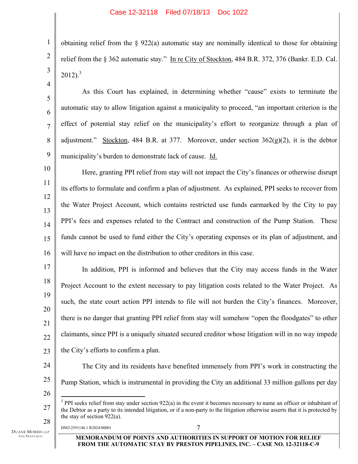obtaining relief from the  $\S 922(a)$  automatic stay are nominally identical to those for obtaining relief from the § 362 automatic stay." In re City of Stockton, 484 B.R. 372, 376 (Bankr. E.D. Cal.  $2012$ )<sup>3</sup>

As this Court has explained, in determining whether "cause" exists to terminate the automatic stay to allow litigation against a municipality to proceed, "an important criterion is the effect of potential stay relief on the municipality's effort to reorganize through a plan of adjustment." Stockton, 484 B.R. at 377. Moreover, under section  $362(g)(2)$ , it is the debtor municipality's burden to demonstrate lack of cause. Id.

10 11 12 13 14 15 16 Here, granting PPI relief from stay will not impact the City's finances or otherwise disrupt its efforts to formulate and confirm a plan of adjustment. As explained, PPI seeks to recover from the Water Project Account, which contains restricted use funds earmarked by the City to pay PPI's fees and expenses related to the Contract and construction of the Pump Station. These funds cannot be used to fund either the City's operating expenses or its plan of adjustment, and will have no impact on the distribution to other creditors in this case.

17 18 19 20 21 22 In addition, PPI is informed and believes that the City may access funds in the Water Project Account to the extent necessary to pay litigation costs related to the Water Project. As such, the state court action PPI intends to file will not burden the City's finances. Moreover, there is no danger that granting PPI relief from stay will somehow "open the floodgates" to other claimants, since PPI is a uniquely situated secured creditor whose litigation will in no way impede the City's efforts to confirm a plan.

- 23
- 24 25 The City and its residents have benefited immensely from PPI's work in constructing the Pump Station, which is instrumental in providing the City an additional 33 million gallons per day
- 26

27

1

2

3

4

5

6

7

8

9

28 DM3\2591146.1 R2024/00001 7

 $\overline{a}$ 

DUANE MORRIS LLP SAN FRANCISCO

 $3$  PPI seeks relief from stay under section 922(a) in the event it becomes necessary to name an officer or inhabitant of the Debtor as a party to its intended litigation, or if a non-party to the litigation otherwise asserts that it is protected by the stay of section 922(a).